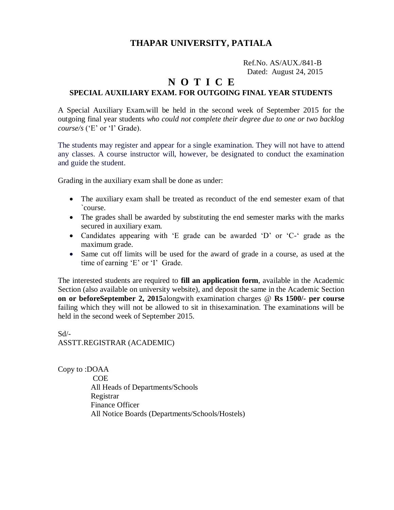### **THAPAR UNIVERSITY, PATIALA**

Ref.No. AS/AUX./841-B Dated: August 24, 2015

### **N O T I C E**

### **SPECIAL AUXILIARY EXAM. FOR OUTGOING FINAL YEAR STUDENTS**

A Special Auxiliary Exam.will be held in the second week of September 2015 for the outgoing final year students *who could not complete their degree due to one or two backlog course/s* ('E' or 'I' Grade).

The students may register and appear for a single examination. They will not have to attend any classes. A course instructor will, however, be designated to conduct the examination and guide the student.

Grading in the auxiliary exam shall be done as under:

- The auxiliary exam shall be treated as reconduct of the end semester exam of that `course.
- The grades shall be awarded by substituting the end semester marks with the marks secured in auxiliary exam.
- Candidates appearing with 'E grade can be awarded 'D' or 'C-' grade as the maximum grade.
- Same cut off limits will be used for the award of grade in a course, as used at the time of earning 'E' or 'I' Grade.

The interested students are required to **fill an application form**, available in the Academic Section (also available on university website), and deposit the same in the Academic Section **on or beforeSeptember 2, 2015**alongwith examination charges @ **Rs 1500/- per course**  failing which they will not be allowed to sit in thisexamination. The examinations will be held in the second week of September 2015.

Sd/- ASSTT.REGISTRAR (ACADEMIC)

Copy to :DOAA COE All Heads of Departments/Schools Registrar Finance Officer All Notice Boards (Departments/Schools/Hostels)